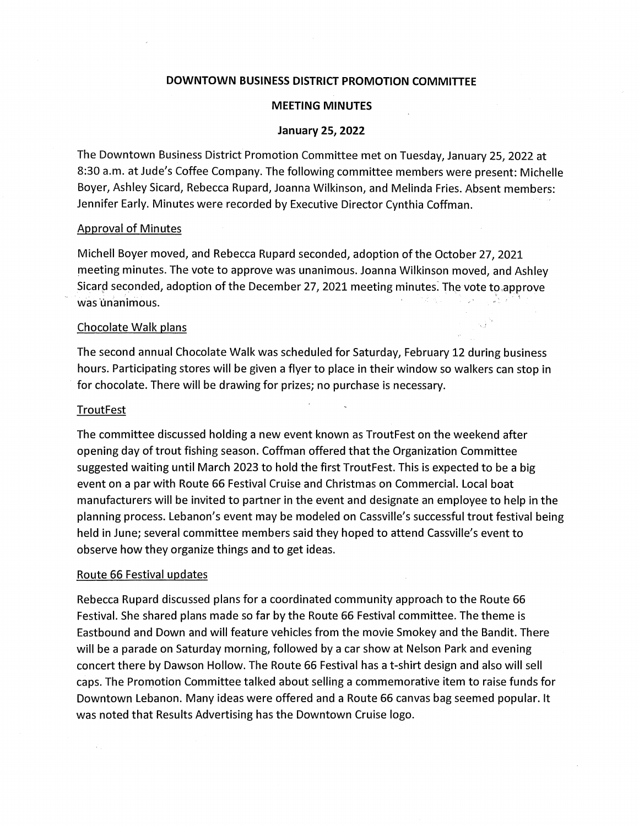## **DOWNTOWN BUSINESS DISTRICT PROMOTION COMMITTEE**

# **MEETING MINUTES**

### **January 25, 2022**

The Downtown Business District Promotion Committee met on Tuesday, January 25, 2022 at 8:30 a.m. at Jude's Coffee Company. The following committee members were present: Michelle Boyer, Ashley Sicard, Rebecca Rupard, Joanna Wilkinson, and Melinda Fries. Absent members: Jennifer Early. Minutes were recorded by Executive Director Cynthia Coffman.

### Approval of Minutes

Michell Boyer moved, and Rebecca Rupard seconded, adoption of the October 27, 2021 meeting minutes. The vote to approve was unanimous. Joanna Wilkinson moved, and Ashley Sicard seconded, adoption of the December 27, 2021 meeting minutes. The vote to approve was unanimous.

### Chocolate Walk plans

The second annual Chocolate Walk was scheduled for Saturday, February 12 during business hours. Participating stores will be given a flyer to place in their window so walkers can stop in for chocolate. There will be drawing for prizes; no purchase is necessary.

### **TroutFest**

The committee discussed holding a new event known as TroutFest on the weekend after opening day of trout fishing season. Coffman offered that the Organization Committee suggested waiting until March 2023 to hold the first TroutFest. This is expected to be a big event on a par with Route 66 Festival Cruise and Christmas on Commercial. Local boat manufacturers will be invited to partner in the event and designate an employee to help in the planning process. Lebanon's event may be modeled on Cassville's successful trout festival being held in June; several committee members said they hoped to attend Cassville's event to observe how they organize things and to get ideas.

### Route 66 Festival updates

Rebecca Rupard discussed plans for a coordinated community approach to the Route 66 Festival. She shared plans made so far by the Route 66 Festival committee. The theme is Eastbound and Down and will feature vehicles from the movie Smokey and the Bandit. There will be a parade on Saturday morning, followed by a car show at Nelson Park and evening concert there by Dawson Hollow. The Route 66 Festival has a t-shirt design and also will sell caps. The Promotion Committee talked about selling a commemorative item to raise funds for Downtown Lebanon. Many ideas were offered and a Route 66 canvas bag seemed popular. It was noted that Results Advertising has the Downtown Cruise logo.